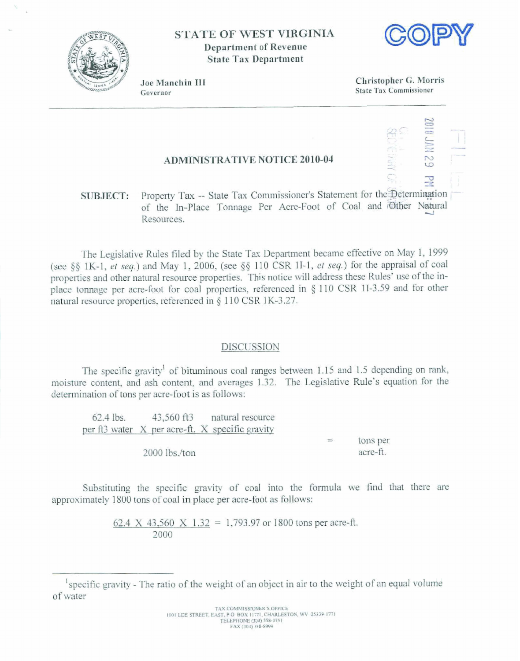

**STATE OF WEST VIRGINIA Department of Revenue State Tax Department** 



Joe Manchin III Governor

Christopher G. Morris **State Tax Commissioner** 

## **ADMINISTRATIVE NOTICE 2010-04**

Property Tax -- State Tax Commissioner's Statement for the Determination **SUBJECT:** of the In-Place Tonnage Per Acre-Foot of Coal and Other Natural Resources.

The Legislative Rules filed by the State Tax Department became effective on May 1, 1999 (see §§ 1K-1, et seq.) and May 1, 2006, (see §§ 110 CSR 1I-1, et seq.) for the appraisal of coal properties and other natural resource properties. This notice will address these Rules' use of the inplace tonnage per acre-foot for coal properties, referenced in § 110 CSR 1I-3.59 and for other natural resource properties, referenced in § 110 CSR 1K-3.27.

## **DISCUSSION**

The specific gravity<sup>1</sup> of bituminous coal ranges between 1.15 and 1.5 depending on rank, moisture content, and ash content, and averages 1.32. The Legislative Rule's equation for the determination of tons per acre-foot is as follows:

43,560 ft3 natural resource 62.4 lbs. per ft3 water X per acre-ft. X specific gravity tons per  $\equiv$  $2000$  lbs./ton acre-ft.

Substituting the specific gravity of coal into the formula we find that there are approximately 1800 tons of coal in place per acre-foot as follows:

> 62.4 X 43.560 X 1.32 = 1.793.97 or 1800 tons per acre-ft. 2000

specific gravity - The ratio of the weight of an object in air to the weight of an equal volume of water